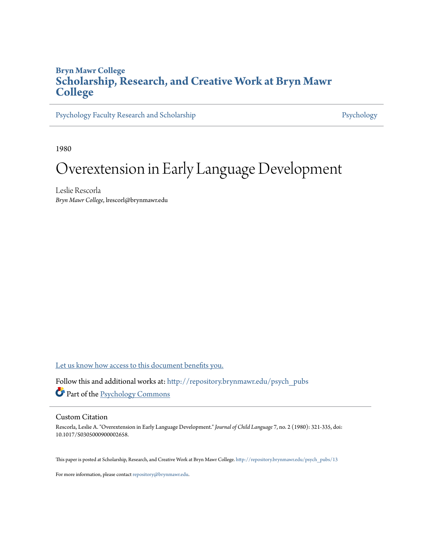## **Bryn Mawr College [Scholarship, Research, and Creative Work at Bryn Mawr](http://repository.brynmawr.edu?utm_source=repository.brynmawr.edu%2Fpsych_pubs%2F13&utm_medium=PDF&utm_campaign=PDFCoverPages) [College](http://repository.brynmawr.edu?utm_source=repository.brynmawr.edu%2Fpsych_pubs%2F13&utm_medium=PDF&utm_campaign=PDFCoverPages)**

[Psychology Faculty Research and Scholarship](http://repository.brynmawr.edu/psych_pubs?utm_source=repository.brynmawr.edu%2Fpsych_pubs%2F13&utm_medium=PDF&utm_campaign=PDFCoverPages) [Psychology](http://repository.brynmawr.edu/psychology?utm_source=repository.brynmawr.edu%2Fpsych_pubs%2F13&utm_medium=PDF&utm_campaign=PDFCoverPages) Psychology

1980

# Overextension in Early Language Development

Leslie Rescorla *Bryn Mawr College*, lrescorl@brynmawr.edu

[Let us know how access to this document benefits you.](http://repository.brynmawr.edu/open-access-feedback.html)

Follow this and additional works at: [http://repository.brynmawr.edu/psych\\_pubs](http://repository.brynmawr.edu/psych_pubs?utm_source=repository.brynmawr.edu%2Fpsych_pubs%2F13&utm_medium=PDF&utm_campaign=PDFCoverPages) Part of the [Psychology Commons](http://network.bepress.com/hgg/discipline/404?utm_source=repository.brynmawr.edu%2Fpsych_pubs%2F13&utm_medium=PDF&utm_campaign=PDFCoverPages)

## Custom Citation

Rescorla, Leslie A. "Overextension in Early Language Development." *Journal of Child Language* 7, no. 2 (1980): 321-335, doi: 10.1017/S0305000900002658.

This paper is posted at Scholarship, Research, and Creative Work at Bryn Mawr College. [http://repository.brynmawr.edu/psych\\_pubs/13](http://repository.brynmawr.edu/psych_pubs/13)

For more information, please contact [repository@brynmawr.edu](mailto:repository@brynmawr.edu).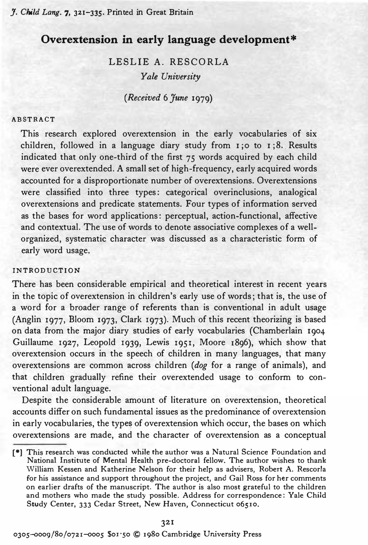## Overextension in early language development\*

LESLIE A. RESCORLA Yale University

(Received 6 June 1979)

#### ABSTRACT

This research explored overextension in the early vocabularies of six children, followed in a language diary study from  $I$ ; 0 to  $I$ ; 8. Results indicated that only one-third of the first 75 words acquired by each child were ever overextended. A small set of high-frequency, early acquired words accounted for a disproportionate number of overextensions. Overextensions were classified into three types: categorical overinclusions, analogical overextensions and predicate statements. Four types of information served as the bases for word applications: perceptual, action-functional, affective and contextual. The use of words to denote associative complexes of a wellorganized, systematic character was discussed as a characteristic form of early word usage.

## INTRODUCTION

There has been considerable empirical and theoretical interest in recent years in the topic of overextension in children's early use of words; that is, the use of a word for a broader range of referents than is conventional in adult usage (Anglin 1977, Bloom 1973, Clark 1973). Much of this recent theorizing is based on data from the major diary studies of early vocabularies (Chamberlain 1904 Guillaume 1927, Leopold 1939, Lewis 1951, Moore 1896), which show that overextension occurs in the speech of children in many languages, that many overextensions are common across children (dog for a range of animals), and that children gradually refine their overextended usage to conform to conventional adult language.

Despite the considerable amount of literature on overextension, theoretical accounts differ on such fundamental issues as the predominance of overextension in early vocabularies, the types of overextension which occur, the bases on which overextensions are made, and the character of overextension as a conceptual

0305-0009/80/0721-0005 \$01.50 © 1980 Cambridge University Press

<sup>[</sup>e] This research was conducted while the author was a Natural Science Foundation and National Institute of Mental Health pre-doctoral fellow. The author wishes to thank William Kessen and Katherine Nelson for their help as advisers, Robert A. Rescorla for his assistance and support throughout the project, and Gail Ross for her comments on earlier drafts of the manuscript. The author is also most grateful to the children and mothers who made the study possible. Address for correspondence: Yale Child Study Center, 333 Cedar Street, New Haven, Connecticut 06510.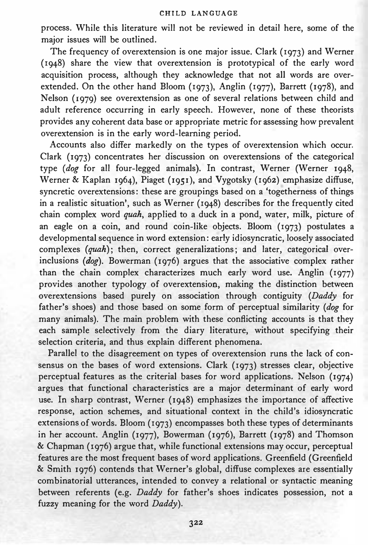process. While this literature will not be reviewed in detail here, some of the major issues will be outlined.

The frequency of overextension is one major issue. Clark (1973) and Werner (1948) share the view that overextension is prototypical of the early word acquisition process, although they acknowledge that not all words are overextended. On the other hand Bloom (1973), Anglin (1977), Barrett (1978), and Nelson (1979) see overextension as one of several relations between child and adult reference occurring in early speech. However, none of these theorists provides any coherent data base or appropriate metric for assessing how prevalent overextension is in the early word-learning period.

Accounts also differ markedly on the types of overextension which occur. Clark (1973) concentrates her discussion on overextensions of the categorical type (dog for all four-legged animals). In contrast, Werner (Werner 1948, Werner & Kaplan 1964), Piaget (1951), and Vygotsky (1962) emphasize diffuse, syncretic overextensions: these are groupings based on a 'togetherness of things in a realistic situation', such as Werner (1948) describes for the frequently cited chain complex word quah, applied to a duck in a pond, water, milk, picture of an eagle on a coin, and round coin-like objects. Bloom (1973) postulates a developmental sequence in word extension: early idiosyncratic, loosely associated complexes (quah); then, correct generalizations; and later, categorical overinclusions ( $dog$ ). Bowerman (1976) argues that the associative complex rather than the chain complex characterizes much early word use. Anglin (1977) provides another typology of overextension, making the distinction between overextensions based purely on association through contiguity (Daddy for father's shoes) and those based on some form of perceptual similarity (dog for many animals). The main problem with these conflicting accounts is that they each sample selectively from the diary literature, without specifying their selection criteria, and thus explain different phenomena.

Parallel to the disagreement on types of overextension runs the lack of consensus on the bases of word extensions. Clark (1973) stresses clear, objective perceptual features as the criterial bases for word applications. Nelson (1974) argues that functional characteristics are a major determinant of early word use. In sharp contrast, Werner (1948) emphasizes the importance of affective response, action schemes, and situational context in the child's idiosyncratic extensions of words. Bloom (1973) encompasses both these types of determinants in her account. Anglin (1977), Bowerman (1976), Barrett (1978) and Thomson & Chapman (1976) argue that, while functional extensions may occur, perceptual features are the most frequent bases of word applications. Greenfield (Greenfield & Smith 1976) contends that Werner's global, diffuse complexes are essentially combinatorial utterances, intended to convey a relational or syntactic meaning between referents (e.g. Daddy for father's shoes indicates possession, not a fuzzy meaning for the word Daddy).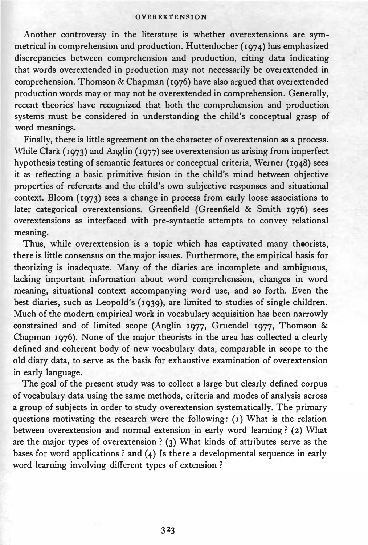Another controversy in the literature is whether overextensions are symmetrical in comprehension and production. Huttenlocher (1974) has emphasized discrepancies between comprehension and production, citing data indicating that words overextended in production may not necessarily be overextended in comprehension. Thomson & Chapman (1976) have also argued that overextended production words may or may not be overextended in comprehension. Generally, recent theories' have recognized that both the comprehension and production systems must be considered in understanding the child's conceptual grasp of word meanings.

Finally, there is little agreement on the character of overextension as a process. While Clark (1973) and Anglin (1977) see overextension as arising from imperfect hypothesis testing of semantic features or conceptual criteria, Werner (1948) sees it as reflecting a basic primitive fusion in the child's mind between objective properties of referents and the child's own subjective responses and situational context. Bloom (1973) sees a change in process from early loose associations to later categorical overextensions. Greenfield (Greenfield & Smith 1976) sees overextensions as interfaced with pre-syntactic attempts to convey relational meaning.

Thus, while overextension is a topic which has captivated many theorists, there is little consensus on the major issues. Furthermore, the empirical basis for theorizing is inadequate. Many of the diaries are incemplete and ambiguous, lacking important information about word comprehension, changes in word meaning, situational context accompanying word use, and so forth. Even the best diaries, such as Leopold's (1939), are limited to studies of single children. Much of the modern empirical work in vocabulary acquisition has been narrowly constrained and of limited scope (Anglin 1977, Gruendel 1977, Thomson & Chapman 1976). None of the major theorists in the area has collected a clearly defined and coherent body of new vocabulary data, comparable in scope to the old diary data, to serve as the basi's for exhaustive examination of overextension in early language.

The goal of the present study was to collect a large but clearly defined corpus of vocabulary data using the same methods, criteria and modes of analysis across a group of subjects in order to study overextension systematically. The primary questions motivating the research were the following: (1) What is the relation between overextension and normal extension in early word learning? (2) What are the major types of overextension? (3) What kinds of attributes serve as the bases for word applications  $\partial$  and (4) Is there a developmental sequence in early word learning involving different types of extension?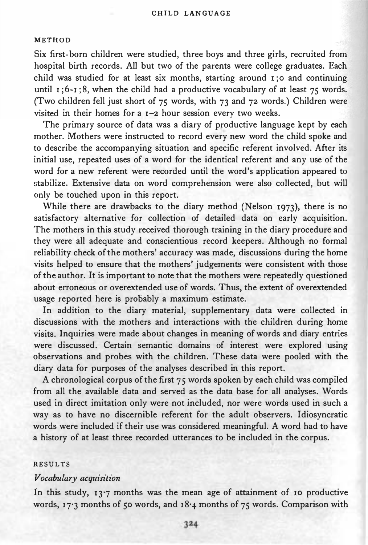#### METHOD

Six first-born children were studied, three boys and three girls, recruited from hospital birth records. All but two of the parents were college graduates. Each child was studied for at least six months, starting around  $\overline{1}$ ; o and continuing until  $1$ ; 6-1; 8, when the child had a productive vocabulary of at least 75 words. (Two children fell just short of  $75$  words, with  $73$  and  $72$  words.) Children were visited in their homes for a 1-2 hour session every two weeks.

The primary source of data was a diary of productive language kept by each mother. Mothers were instructed to record every new word the child spoke and to describe the accompanying situation and specific referent involved. After its initial use, repeated uses of a word for the identical referent and any use of the word for a new referent were recorded until the word's application appeared to stabilize. Extensive data on word comprehension were also collected, but will only be touched upon in this report.

While there are drawbacks to the diary method (Nelson 1973), there is no satisfactory alternative for collection of detailed data on early acquisition. The mothers in this study received thorough training in the diary procedure and they were all adequate and conscientious record keepers. Although no formal reliability check of the mothers' accuracy was made, discussions during the home visits helped to ensure that the mothers' judgements were consistent with those of the author. It is important to note that the mothers were repeatedly questioned about erroneous or overextended use of words. Thus, the extent of overextended usage reported here is probably a maximum estimate.

In addition to the diary material, supplementary data were collected in discussions with the mothers and interactions with the children during home visits. Inquiries were made about changes in meaning of words and diary entries were discussed. Certain semantic domains of interest were explored using observations and probes with the children. These data were pooled with the diary data for purposes of the analyses described in this report.

A chronological corpus of the first 75 words spoken by each child was compiled from all the available data and served as the data base for all analyses. Words used in direct imitation only were not included, nor were words used in such a way as to have no discernible referent for the adult observers. Idiosyncratic words were included if their use was considered meaningful. A word had to have a history of at least three recorded utterances to be included in the corpus.

## RESULTS

## Vocabulary acquisition

In this study,  $13'7$  months was the mean age of attainment of 10 productive words, 17.3 months of 50 words, and 18.4 months of 75 words. Comparison with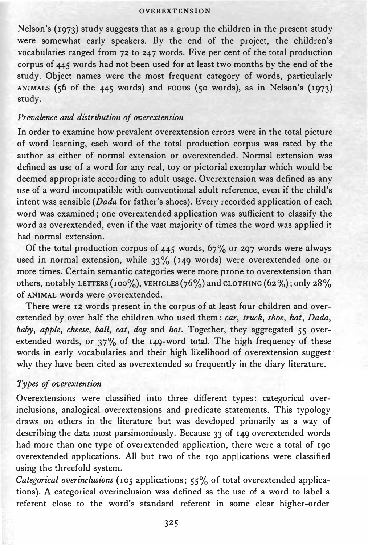Nelson's (1973) study suggests that as a group the children in the present study were somewhat early speakers. By the end of the project, the children's vocabularies ranged from 72 to 247 words. Five per cent of the total production corpus of 445 words had not been used for at least two months by the end of the study. Object names were the most frequent category of words, particularly ANIMALS (56 of the 445 words) and FOODS (50 words), as in Nelson's (1973) study.

## Prevalence and distribution of overextension

In order to examine how prevalent overextension errors were in the total picture of word learning, each word of the total production corpus was rated by the author as either of normal extension or overextended. Normal extension was defined as use of a word for any real, toy or pictorial exemplar which would be deemed appropriate according to adult usage. Overextension was defined as any use of a word incompatible with. conventional adult reference, even if the child's intent was sensible (Dada for father's shoes). Every recorded application of each word was examined; one overextended application was sufficient to classify the word as overextended, even if the vast majority of times the word was applied it had normal extension.

Of the total production corpus of  $445$  words,  $67\%$  or 297 words were always used in normal extension, while 33% (149 words) were overextended one or more times. Certain semantic categories were more prone to overextension than others, notably LETTERS (100%), VEHICLES (76%) and CLOTHING (62%); only 28% of ANIMAL words were overextended.

There were 12 words present in the corpus of at least four children and overextended by over half the children who used them: car, truck, shoe, hat, Dada, baby, apple, cheese, ball, cat, dog and hot. Together, they aggregated 55 overextended words, or 37% of the 149-word total. The high frequency of these words in early vocabularies and their high likelihood of overextension suggest why they have been cited as overextended so frequently in the diary literature.

## Types of overextension

Overextensions were classified into three different types: categorical overinclusions, analogical overextensions and predicate statements. This typology draws on others in the literature but was developed primarily as a way of describing the data most parsimoniously. Because 33 of 149 overextended words had more than one type of overextended application, there were a total of 190 overextended applications. All but two of the 190 applications were classified using the threefold system.

Categorical overinclusions (105 applications;  $55%$  of total overextended applications). A categorical overinclusion was defined as the use of a word to label a referent close to the word's standard referent in some clear higher-order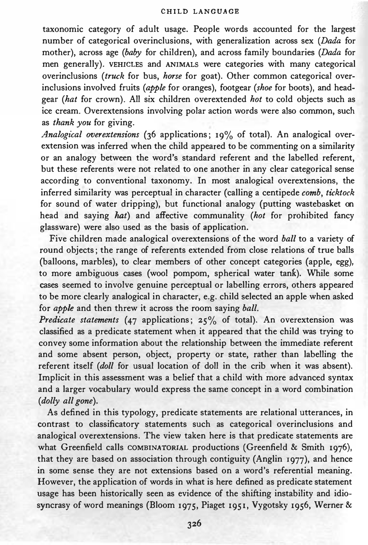taxonomic category of adult usage. People words accounted for the largest number of categorical overinclusions, with generalization across sex (Dada for mother), across age (baby for children), and across family boundaries (Dada for men generally). VEHICLES and ANIMALS were categories with many categorical overinclusions (truck for bus, horse for goat). Other common categorical overinclusions involved fruits (apple for oranges), footgear (shoe for boots), and headgear (hat for crown). All six children overextended hot to cold objects such as ice cream. Overextensions involving polar action words were also common, such as thank you for giving.

Analogical overextensions (36 applications; 19% of total). An analogical overextension was inferred when the child appeared to be commenting on a similarity or an analogy between the word's standard referent and the labelled referent, but these referents were not related to one another in any clear categorical sense according to conventional taxonomy. In most analogical overextensions, the inferred similarity was perceptual in character (calling a centipede comb, ticktock for sound of water dripping), but functional analogy (putting wastebasket on head and saying hat) and affective communality (hot for prohibited fancy glassware) were also used as the basis of application.

Five children made analogical overextensions of the word ball to a variety of round objects; the range of referents extended from close relations of true balls (balloons, marbles), to clear members of other concept categories (apple, egg), to more ambiguous cases (wool pompom, spherical water tank). While some cases seemed to involve genuine perceptual or labelling errors, others appeared to be more clearly analogical in character, e.g. child selected an apple when asked for apple and then threw it across the room saying ball.

Predicate statements (47 applications;  $25\%$  of total). An overextension was classified as a predicate statement when it appeared that the child was trying to convey some information about the relationship between the immediate referent and some absent person, object, property or state, rather than labelling the referent itself (doll for usual location of doll in the crib when it was absent). Implicit in this assessment was a belief that a child with more advanced syntax and a larger vocabulary would express the same concept in a word combination (dolly all gone).

As defined in this typology, predicate statements are relational utterances, in contrast to classificatory statements such as categorical overinclusions and analogical overextensions. The view taken here is that predicate statements are what Greenfield calls COMBINATORIAL productions (Greenfield & Smith 1976), that they are based on association through contiguity (Anglin 1977), and hence in some sense they are not extensions based on a word's referential meaning. However, the application of words in what is here defined as predicate statement usage has been historically seen as evidence of the shifting instability and idiosyncrasy of word meanings (Bloom 1975, Piaget 1951, Vygotsky 1956, Werner &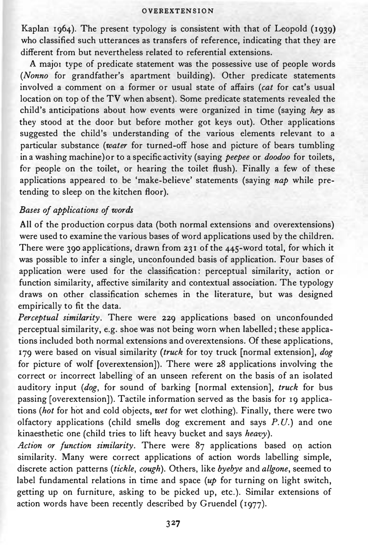Kaplan 1964). The present typology is consistent with that of Leopold (1939) who classified such utterances as transfers of reference, indicating that they are different from but nevertheless related to referential extensions.

A major type of predicate statement was the possessive use of people words (Nonno for grandfather's apartment building). Other predicate statements involved a comment on a former or usual state of affairs (cat for cat's usual location on top of the TV when absent). Some predicate statements revealed the child's anticipations about how events were organized in time (saying key as they stood at the door but before mother got keys out). Other applications suggested the child's understanding of the various elements relevant to a particular substance (water for turned-off hose and picture of bears tumbling in a washing machine) or to a specific activity (saying *peepee* or *doodoo* for toilets, fcr people on the toilet, or hearing the toilet flush). Finally a few of these applications appeared to be 'make-believe' statements (saying nap while pretending to sleep on the kitchen floor).

## Bases of applications of words

All of the production corpus data (both normal extensions and overextensions) were used to examine the various bases of word applications used by the children. There were 390 applications, drawn from 231 of the 445-word total, for which it was possible to infer a single, unconfounded basis of application. Four bases of application were used for the classification: perceptual similarity, action or function similarity, affective similarity and contextual association. The typology draws on other classification schemes in the literature, but was designed empirically to fit the data.

Perceptual similarity. There were 229 applications based on unconfounded perceptual similarity, e.g. shoe was not being worn when labelled; these applications included both normal extensions and overextensions. Of these applications, 179 were based on visual similarity (truck for toy truck [normal extension], dog for picture of wolf [overextension]). There were 28 applications involving the correct or incorrect labelling of an unseen referent on the basis of an isolated auditory input (dog, for sound of barking [normal extension], truck for bus passing [overextension]). Tactile information served as the basis for 19 applications (hot for hot and cold objects, wet for wet clothing). Finally, there were two olfactory applications (child smells dog excrement and says P.U.) and one kinaesthetic one (child tries to lift heavy bucket and says heavy).

Action or function similarity. There were 87 applications based on action similarity. Many were correct applications of action words labelling simple, discrete action patterns (tickle, cough). Others, like byebye and allgone, seemed to label fundamental relations in time and space  $(up)$  for turning on light switch, getting up on furniture, asking to be picked up, etc.). Similar extensions of action words have been recently described by Gruendel (1977).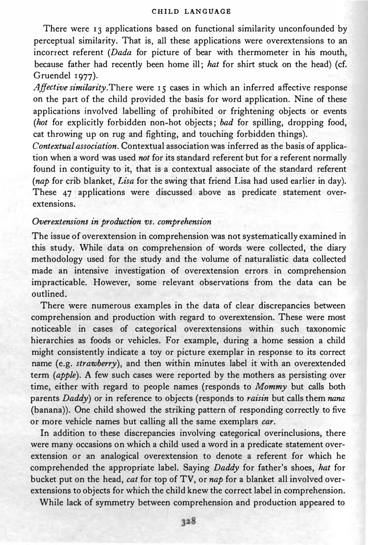There were 13 applications based on functional similarity unconfounded by perceptual similarity. That is, all these applications were overextensions to an incorrect referent (Dada for picture of bear with thermometer in his mouth, because father had recently been home ill; hat for shirt stuck on the head) (cf. Gruendel 1977).

Affective similarity. There were 15 cases in which an inferred affective response on the part of the child provided the basis for word application. Nine of these applications involved labelling of prohibited or frightening objects or events (hot for explicitly forbidden non-hot objects; bad for spilling, dropping food, cat throwing up on rug and fighting, and touching forbidden things).

Contextual association. Contextual association was inferred as the basis of application when a word was used not for its standard referent but for a referent normally found in contiguity to it, that is a contextual associate of the standard referent (nap for crib blanket, Lisa for the swing that friend Lisa had used earlier in day). These 47 applications were discussed above as predicate statement overextensions.

## Overextensions in production vs. comprehension

The issue of overextension in comprehension was not systematically examined in this study. While data on comprehension of words were collected, the diary methodology used for the study and the volume of naturalistic data collected made an intensive investigation of overextension errors in comprehension impracticable. However, some relevant observations from the data can be outlined.

There were numerous examples in the data of clear discrepancies between comprehension and production with regard to overextension. These were most noticeable in cases of categorical overextensions within such taxonomic hierarchies as foods or vehicles. For example, during a home session a child might consistently indicate a toy or picture exemplar in response to its correct name (e.g. strawberry), and then within minutes label it with an overextended term (apple). A few such cases were reported by the mothers as persisting over time, either with regard to people names (responds to Mommy but calls both parents Daddy) or in reference to objects (responds to raisin but calls them nana (banana)). One child showed the striking pattern of responding correctly to five or more vehicle names but calling all the same exemplars car.

In addition to these discrepancies involving categorical overinclusions, there were many occasions on which a child used a word in a predicate statement overextension or an analogical overextension to denote a referent for which he comprehended the appropriate label. Saying Daddy for father's shoes, hat for bucket put on the head, cat for top of TV, or nap for a blanket all involved overextensions to objects for which the child knew the correct label in comprehension.

While lack of symmetry between comprehension and production appeared to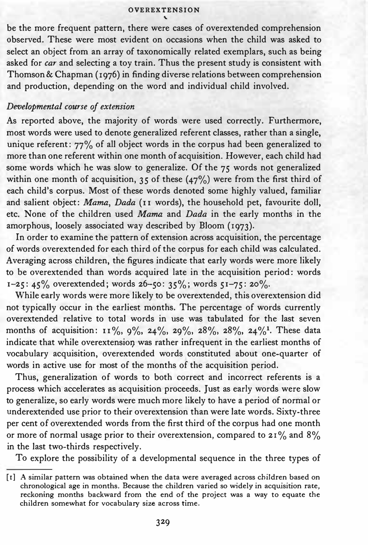be the more frequent pattern, there were cases of overextended comprehension observed. These were most evident on occasions when the child was asked to select an object from an array of taxonomically related exemplars, such as being asked for *car* and selecting a toy train. Thus the present study is consistent with Thomson & Chapman (1976) in finding diverse relations between comprehension and production, depending on the word and individual child involved.

## Developmental course of extension

As reported above, the majority of words were used correctly. Furthermore, most words were used to denote generalized referent classes, rather than a single, unique referent: 77% of all object words in the corpus had been generalized to more than one referent within one month of acquisition. However, each child had some words which he was slow to generalize. Of the 75 words not generalized within one month of acquisition, 35 of these  $(47%)$  were from the first third of each child's corpus. Most of these words denoted some highly valued, familiar and salient object: Mama, Dada (II words), the household pet, favourite doll, etc. None of the children used Mama and Dada in the early months in the amorphous, loosely associated way described by Bloom (1973).

In order to examine the pattern of extension across acquisition, the percentage of words overextended for each third of the corpus for each child was calculated. Averaging across children, the figures indicate that early words were more likely to be overextended than words acquired late in the acquisition period: words  $1-25$ :  $45\%$  overextended; words  $26-50$ :  $35\%$ ; words  $51-75$ :  $20\%$ .

While early words were more likely to be overextended, this overextension did not typically occur in the earliest months. The percentage of words currently overextended relative to total words in use was tabulated for the last seven months of acquisition:  $11\%, 9\%, 24\%, 29\%, 28\%, 28\%, 24\%$ . These data indicate that while overextension was rather infrequent in the earliest months of vocabulary acquisition, overextended words constituted about one-quarter of words in active use for most of the months of the acquisition period.

Thus, generalization of words to both correct and incorrect referents is a process which accelerates as acquisition proceeds. Just as early words were slow to generalize, so early words were much more likely to have a period of normal or underextended use prior to their overextension than were late words. Sixty-three per cent of overextended words from the first third of the corpus had one month or more of normal usage prior to their overextension, compared to  $21\%$  and  $8\%$ in the last two-thirds respectively.

To explore the possibility of a developmental sequence in the three types of

<sup>[1)</sup> A similar pattern was obtained when the data were averaged across children based on chronological age in months. Because the children varied so widely in acquisition rate, reckoning months backward from the end of the project was a way to equate the children somewhat for vocabulary size across time.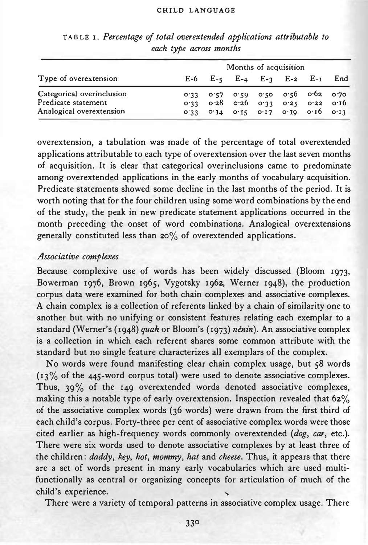| Type of overextension                                                        | Months of acquisition |                                                                                                                              |  |  |  |  |  |
|------------------------------------------------------------------------------|-----------------------|------------------------------------------------------------------------------------------------------------------------------|--|--|--|--|--|
|                                                                              |                       | $E-6$ $E-5$ $E-4$ $E-3$ $E-2$ $E-1$ $End$                                                                                    |  |  |  |  |  |
| Categorical overinclusion<br>Predicate statement<br>Analogical overextension |                       | 0.33 0.57 0.59 0.50 0.56 0.62 0.70<br>$0.33$ $0.28$ $0.26$ $0.33$ $0.25$ $0.22$ $0.16$<br>0.33 0.14 0.15 0.17 0.10 0.10 0.13 |  |  |  |  |  |

## TAB LEI. Percentage of total overextended applications attributable to each type across months

overextension, a tabulation was made of the percentage of total overextended applications attributable to each type of overextension over the last seven months of acquisition, It is clear that categorical overinclusions came to predominate among overextended applications in the early months of vocabulary acquisition, Predicate statements showed some decline in the last months of the period, It is worth noting that for the four children using some word combinations by the end of the study, the peak in new predicate statement applications occurred in the month preceding the onset of word combinations, Analogical overextensions generally constituted less than 20% of overextended applications,

## Associative complexes

Because complexive use of words has been widely discussed (Bloom 1973, Bowerman 1976, Brown 1965, Vygotsky 1962, Werner 1948), the production corpus data were examined for both chain complexes and associative complexes, A chain complex is a collection of referents linked by a chain of similarity one to another but with no unifying or consistent features relating each exemplar to a standard (Werner's (1948) quah or Bloom's (1973) nénin). An associative complex is a collection in which each referent shares some common attribute with the standard but no single feature characterizes all exemplars of the complex.

No words were found manifesting clear chain complex usage, but 58 words (13% of the 445-word corpus total) were used to denote associative complexes. Thus, 39% of the 149 overextended words denoted associative complexes, making this a notable type of early overextension, Inspection revealed that 62% of the associative complex words (36 words) were drawn from the first third of each child's corpus. Forty-three per cent of associative complex words were those cited earlier as high-frequency words commonly overextended (dog, car, etc,). There were six words used to denote associative complexes by at least three of the children: daddy, key, hot, mommy, hat and cheese. Thus, it appears that there are a set of words present in many early vocabularies which are used multifunctionally as central or organizing concepts for articulation of much of the child's experience.

There were a variety of temporal patterns in associative complex usage. There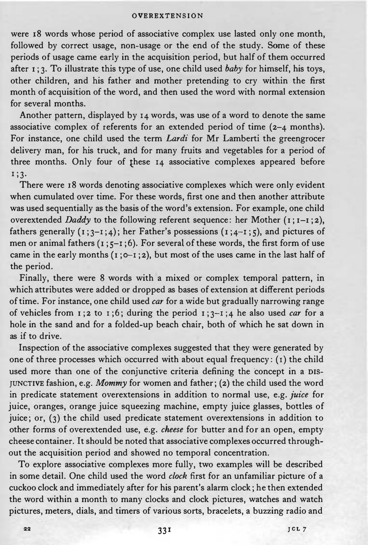were 18 words whose period of associative complex use lasted only one month, followed by correct usage, non-usage or the end of the study. Some of these periods of usage came early in the acquisition period, but half of them occurred after  $1$ ; 3. To illustrate this type of use, one child used *baby* for himself, his toys, other children, and his father and mother pretending to cry within the first month of acquisition of the word, and then used the word with normal extension for several months.

Another pattern, displayed by 14 words, was use of a word to denote the same associative complex of referents for an extended period of time (2-4 months). For instance, one child used the term Lardi for Mr Lamberti the greengrocer delivery man, for his truck, and for many fruits and vegetables for a period of three months. Only four of these 14 associative complexes appeared before 1;3·

There were 18 words denoting associative complexes which were only evident when cumulated over time. For these words, first one and then another attribute was used sequentially as the basis of the word's extension. For example, one child overextended Daddy to the following referent sequence: her Mother  $(i:i-1;2)$ , fathers generally  $(1;3-i;4)$ ; her Father's possessions  $(1;4-i;5)$ , and pictures of men or animal fathers  $(1; \xi - 1; 6)$ . For several of these words, the first form of use came in the early months  $(1;0-1;2)$ , but most of the uses came in the last half of the period.

Finally, there were 8 words with a mixed or complex temporal pattern, in which attributes were added or dropped as bases of extension at different periods of time. For instance, one child used car for a wide but gradually narrowing range of vehicles from  $I: 2$  to  $I: 6$ ; during the period  $I: 3-I: 4$  he also used *car* for a hole in the sand and for a folded-up beach chair, both of which he sat down in as if to drive.

Inspection of the associative complexes suggested that they were generated by one of three processes which occurred with about equal frequency: (I) the child used more than one of the conjunctive criteria defining the concept in a DIS-JUNCTIVE fashion, e.g. Mommy for women and father; (2) the child used the word in predicate statement overextensions in addition to normal use, e.g. juice for juice, oranges, orange juice squeezing machine, empty juice glasses, bottles of juice; or, (3) the child used predicate statement overextensions in addition to other forms of overextended use, e.g. cheese for butter and for an open, empty cheese container. It should be noted that associative complexes occurred throughout the acquisition period and showed no temporal concentration.

To explore associative complexes more fully, two examples will be described in some detail. One child used the word clock first for an unfamiliar picture of a cuckoo clock and immediately after for his parent's alarm clock; he then extended the word within a month to many clocks and clock pictures, watches and watch pictures, meters, dials, and timers of various sorts, bracelets, a buzzing radio and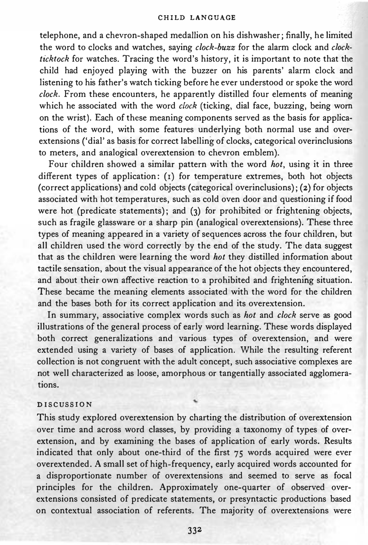telephone, and a chevron-shaped medallion on his dishwasher; finally, he limited the word to clocks and watches, saying  $clock-buzz$  for the alarm clock and  $clock$ ticktock for watches. Tracing the word's history, it is important to note that the child had enjoyed playing with the buzzer on his parents' alarm clock and listening to his father's watch ticking before he ever understood or spoke the word clock. From these encounters, he apparently distilled four elements of meaning which he associated with the word *clock* (ticking, dial face, buzzing, being worn on the wrist). Each of these meaning components served as the basis for applications of the word, with some features underlying both normal use and overextensions ('dial' as basis for correct labelling of clocks, categorical overinclusions to meters, and analogical overextension to chevron emblem).

Four children showed a similar pattern with the word *hot*, using it in three different types of application: (I) for temperature extremes, both hot objects (correct applications) and cold objects (categorical overinclusions); (2) for objects associated with hot temperatures, such as cold oven door and questioning if food were hot (predicate statements); and (3) for prohibited or frightening objects, such as fragile glassware or a sharp pin (analogical overextensions). These three types of meaning appeared in a variety of sequences across the four children, but all children used the word correctly by the end of the study. The data suggest that as the children were learning the word hot they distilled information about tactile sensation, about the visual appearance of the hot objects they encountered, and about their own affective reaction to a prohibited and frightening situation. These became the meaning elements associated with the word for the children and the bases both for its correct application and its overextension.

In summary, associative complex words such as *hot* and *clock* serve as good illustrations of the general process of early word learning. These words displayed both correct generalizations and various types of overextension, and were extended using a variety of bases of application. While the resulting referent collection is not congruent with the adult concept, such associative complexes are not well characterized as loose, amorphous or tangentially associated agglomerations.

## DISCUSSION

This study explored overextension by charting the distribution of overextension over time and across word classes, by providing a taxonomy of types of overextension, and by examining the bases of application of early words. Results indicated that only about one-third of the first 75 words acquired were ever overextended. A small set of high-frequency, early acquired words accounted for a disproportionate number of overextensions and seemed to serve as focal principles for the children. Approximately one-quarter of observed overextensions consisted of predicate statements, or presyntactic productions based on contextual association of referents. The majority of overextensions were

332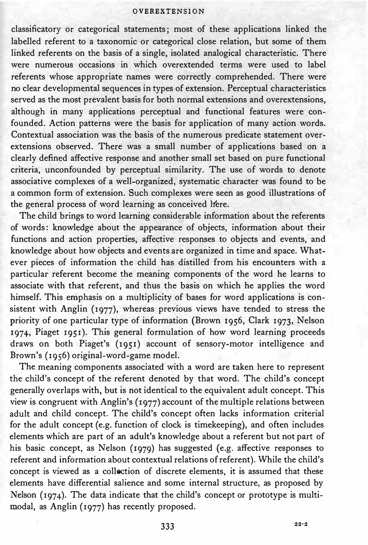classificatory or categorical statements; most of these applications linked the labelled referent to a taxonomic or categorical close relation, but some of them linked referents on the basis of a single, isolated analogical characteristic. There were numerous occasions in which overextended terms were used to label referents whose appropriate names were correctly comprehended. There were no clear developmental sequences in types of extension. Perceptual characteristics served as the most prevalent basis for both normal extensions and overextensions, although in many applications perceptual and functional features were confounded. Action patterns were the basis for application of many action words. Contextual association was the basis of the numerous predicate statement overextensions observed. There was a small number of applications based on a clearly defined affective response and another small set based on pure functional criteria, unconfounded by perceptual similarity. The use of words to denote associative complexes of a well-organized, systematic character was found to be a common form of extension. Such complexes were seen as good illustrations of the general process of word learning as conceived liere.

The child brings to word learning considerable information about the referents of words: knowledge about the appearance of objects, information about their functions and action properties, affective responses to objects and events, and knowledge about how objects and events are organized in time and space. Whatever pieces of information the child has distilled from his encounters with a particular referent become the meaning components of the word he learns to associate with that referent, and thus the basis on which he applies the word himself. This emphasis on a multiplicity of bases for word applications is consistent with Anglin (1977), whereas previous views have tended to stress the priority of one particular type of information (Brown 1956, Clark 1973, Nelson 1974, Piaget 1951). This general formulation of how word learning proceeds draws on both Piaget's (1951) account of sensory-motor intelligence and Brown's (1956) original-word-game model.

The meaning components associated with a word are taken here to represent the child's concept of the referent denoted by that word. The child's concept generally overlaps with, but is not identical to the equivalent adult concept. This view is congruent with Anglin's (1977) account of the multiple relations between adult and child concept. The child's concept often lacks information criterial for the adult concept (e.g. function of clock- is timekeeping), and often includes elements which are part of an adult's knowledge about a referent but not part of his basic concept, as Nelson (1979) has suggested (e.g. affective responses to referent and information about contextual relations of referent). While the child's concept is viewed as a collection of discrete elements, it is assumed that these elements have differential salience and some internal structure, as proposed by Nelson (1974). The data indicate that the child's concept or prototype is multimodal, as Anglin (1977) has recently proposed.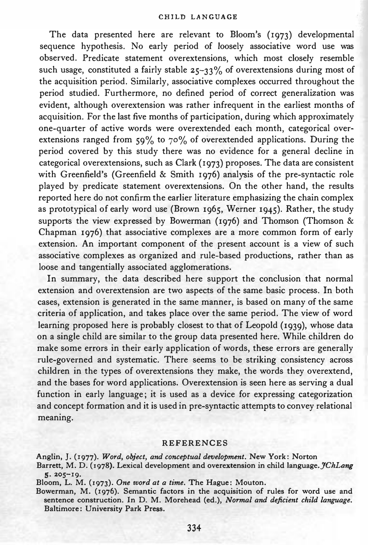The data presented here are relevant to Bloom's (1973) developmental sequence hypothesis. No early period of loosely associative word use was observed. Predicate statement overextensions, which most closely resemble such usage, constituted a fairly stable  $25-33\%$  of overextensions during most of the acquisition period. Similarly, associative complexes occurred throughout the period studied. Furthermore, no defined period of correct generalization was evident, although overextension was rather infrequent in the earliest months of acquisition. For the last five months of participation, during which approximately one-quarter of active words were overextended each month, categorical overextensions ranged from  $59\%$  to  $70\%$  of overextended applications. During the period covered by this study there was no evidence for a general decline in categorical overextensions, such as Clark (1973) proposes. The data are consistent with Greenfield's (Greenfield & Smith 1976) analysis of the pre-syntactic role played by predicate statement overextensions. On the other hand, the results reported here do not confirm the earlier literature emphasizing the chain complex as prototypical of early word use (Brown 1965, Werner 1945). Rather, the study supports the view expressed by Bowerman (1976) and Thomson (Thomson & Chapman 1976) that associative complexes are a more common form of early extension. An important component of the present account is a view of such associative complexes as organized and rule-based productions, rather than as loose and tangentially associated agglomerations.

In summary, the data described here support the conclusion that normal extension and overextension are two aspects of the same basic process. In both cases, extension is generated in the same manner, is based on many of the same criteria of application, and takes place over the same period. The view of word learning proposed here is probably closest to that of Leopold (1939), whose data on a single child are similar to the group data presented here. While children do make some errors in their early application of words, these errors are generally rule-governed and systematic. There seems to be striking consistency across children in the types of overextensions they make, the words they overextend, and the bases for word applications. Overextension is seen here as serving a dual function in early language; it is used as a device for expressing categorization and concept formation and it is used in pre-syntactic attempts to convey relational meaning.

### REFERENCES

Anglin, J. (1977). Word, object, and conceptual development. New York: Norton Barrett, M. D. (1978). Lexical development and overextension in child language. *JChLang* s· 205-19.

Bloom, L. M. (1973). One word at a time. The Hague: Mouton.

Bowerman, M. (1976). Semantic factors in the acquisition of rules for word use and sentence construction. In D. M. Morehead (ed.), Normal and deficient child language. Baltimore: University Park Press.